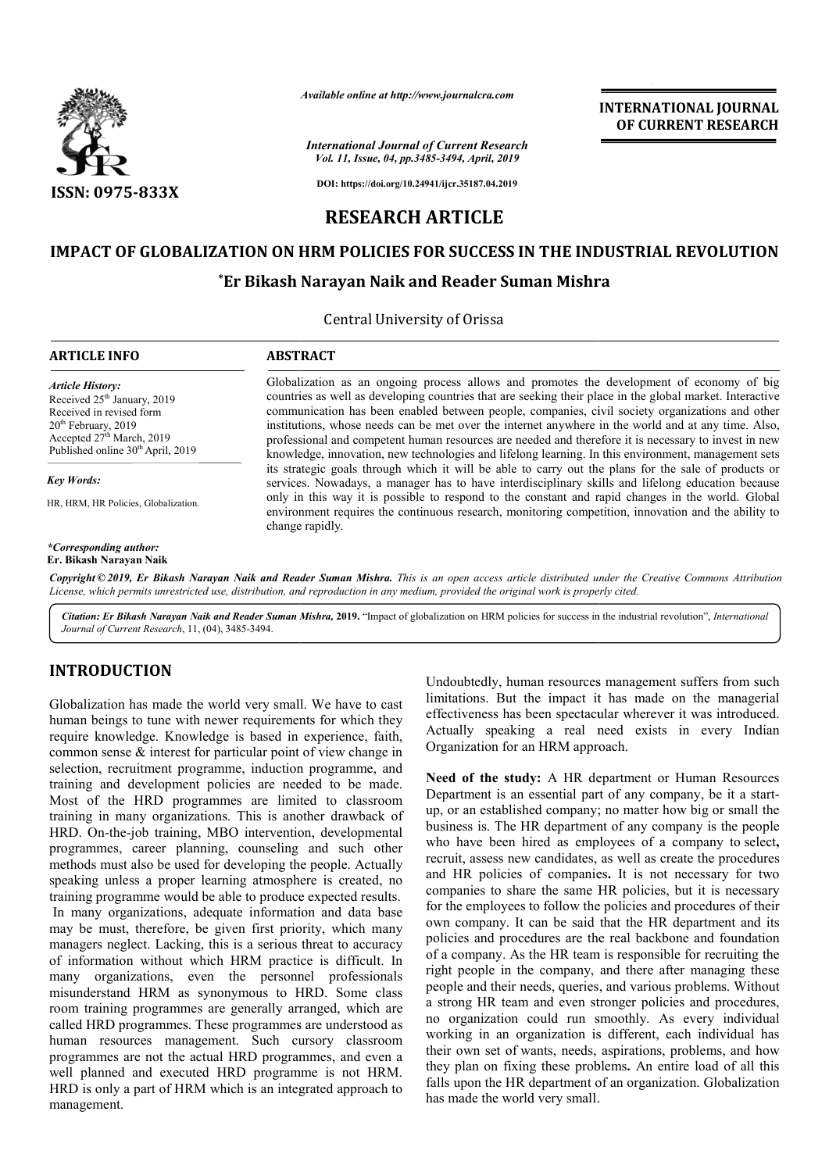

*Available online at http://www.journalcra.com*

#### *International Journal of Current Research Vol. 11, Issue, 04, pp.3485-3494, April, 2019*

**INTERNATIONAL JOURNAL OF CURRENT RESEARCH**

**DOI: https://doi.org/10.24941/ijcr.35187.04.2019**

## **RESEARCH ARTICLE**

# **IMPACT OF GLOBALIZATION ON HRM POLICIES FOR SUCCESS IN THE INDUSTRIAL REVOLUTION** ATION ON HRM POLICIES FOR SUCCESS IN THE INDI<br>\*Er Bikash Narayan Naik and Reader Suman Mishra

Central University of Orissa

#### **ARTICLE INFO ABSTRACT** Globalization as an ongoing process allows and promotes the development of economy of big countries as well as developing countries that are seeking their place in the global market. Interactive communicat communication has been enabled between people, companies, civil society organizations and other institutions, whose needs can be met over the internet anywhere in the world and at any time. Also, professional and competent human resources are needed and therefore it *Article History:* Received 25<sup>th</sup> January, 2019 Received in revised form 20<sup>th</sup> February, 2019 Accepted 27<sup>th</sup> March, 2019 Published online 30<sup>th</sup> April, 2019 Globalization as an ongoing process allows and promotes the development of economy of big<br>countries as well as developing countries that are seeking their place in the global market. Interactive<br>communication has been enab

*Key Words:*

HR, HRM, HR Policies, Globalization.

*\*Corresponding author:* **Er. Bikash Narayan Naik**

knowledge, innovation, new technologies and lifelong learning. In this environment, management sets its strategic goals through which it will be able to carry out the plans for the sale of products or services. Nowadays, a manager has to have interdisciplinary skills and lifelong education because knowledge, innovation, new technologies and lifelong learning. In this environment, management sets its strategic goals through which it will be able to carry out the plans for the sale of products or services. Nowadays, a environment requires the continuous research, monitoring competition, innovation and the ability to change rapidly.

Copyright © 2019, Er Bikash Narayan Naik and Reader Suman Mishra. This is an open access article distributed under the Creative Commons Attribution License, which permits unrestricted use, distribution, and reproduction in any medium, provided the original work is properly cited.

Citation: Er Bikash Narayan Naik and Reader Suman Mishra, 2019. "Impact of globalization on HRM policies for success in the industrial revolution", International *Journal of Current Research*, 11, (04), 3485-3494.

## **INTRODUCTION**

Globalization has made the world very small. We have to cast human beings to tune with newer requirements for which they require knowledge. Knowledge is based in experience, faith, common sense & interest for particular point of view change in selection, recruitment programme, induction programme, and training and development policies are needed to be made. Most of the HRD programmes are limited to classroom training in many organizations. This is another drawback of HRD. On-the-job training, MBO intervention, developmental programmes, career planning, counseling and such other methods must also be used for developing the people. Actually speaking unless a proper learning atmosphere is created, no training programme would be able to produce expected results. In many organizations, adequate information and data base may be must, therefore, be given first priority, which many managers neglect. Lacking, this is a serious threat to accuracy of information without which HRM practice is difficult. In many organizations, even the personnel professionals misunderstand HRM as synonymous to HRD. Some class room training programmes are generally arranged, which are called HRD programmes. These programmes are understood as human resources management. Such cursory classroom programmes are not the actual HRD programmes, and even a well planned and executed HRD programme is not HRM. HRD is only a part of HRM which is an integrated approach to management. D. On-the-job training,<br>prammes, career plann<br>nods must also be used f<br>king unless a proper le<br>ing programme would b<br>many organizations, ad<br>be must, therefore, be<br>agers neglect. Lacking,

limitations. But the impact it has made on the managerial effectiveness has been spectacular wherever it was introduced. Actually speaking a real need exists in every Indian Organization for an HRM approach. Undoubtedly, human resources management suffers from such

bract very small. We have to cast<br>
limitations, buman resources management suffers from such<br>
wer requirements for which they<br>
effectiveness has been spectacular wherever it was introduced.<br>
Netually speaking a real need c **Need of the study:** A HR department or Human Resources Need of the study: A HR department or Human Resources<br>Department is an essential part of any company, be it a startup, or an established company; no matter how big or small the business is. The HR department of any company is the people business is. The HR department of any company is the people who have been hired as employees of a company to select, recruit, assess new candidates, as well as create the procedures recruit, assess new candidates, as well as create the procedures and HR policies of companies. It is not necessary for two companies to share the same HR policies, but it is necessary for the employees to follow the policies and procedures of their own company. It can be said that the HR department and its policies and procedures are the real backbone and foundation of a company. As the HR team is responsible for recruiting the right people in the company, and there after managing these people and their needs, queries, and various problems. Without of a company. As the HR team is responsible for recruiting the right people in the company, and there after managing these people and their needs, queries, and various problems. Without a strong HR team and even stronger p no organization could run smoothly. As every individual working in an organization is different, each individual has their own set of wants, needs, aspirations, problems, and how they plan on fixing these problems. An entire load of all this falls upon the HR department of an organization. Globalization has made the world very small. to share the same HR policies, but it is necessary<br>loyees to follow the policies and procedures of their<br>my. It can be said that the HR department and its<br>l procedures are the real backbone and foundation no organization could run smoothly. As every individual working in an organization is different, each individual has their own set of wants, needs, aspirations, problems, and how they plan on fixing these problems. An enti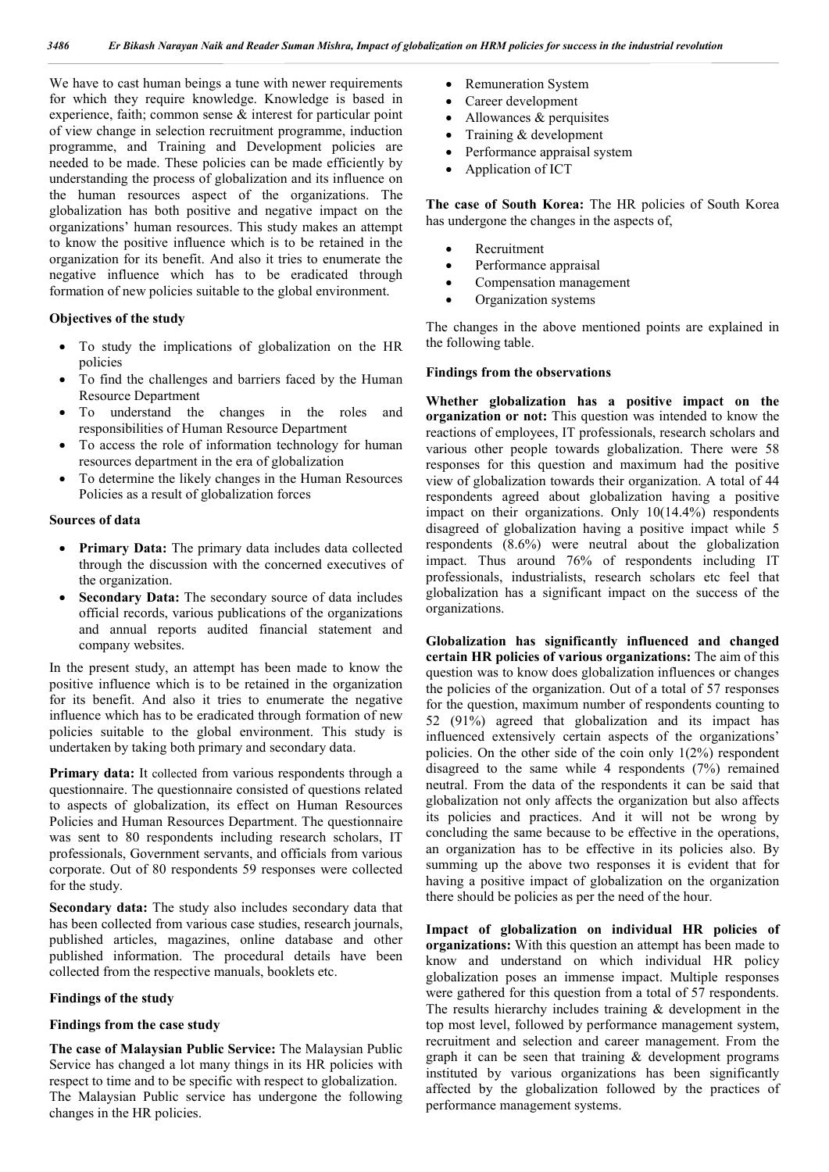We have to cast human beings a tune with newer requirements for which they require knowledge. Knowledge is based in experience, faith; common sense  $\&$  interest for particular point of view change in selection recruitment programme, induction programme, and Training and Development policies are needed to be made. These policies can be made efficiently by understanding the process of globalization and its influence on the human resources aspect of the organizations. The globalization has both positive and negative impact on the organizations' human resources. This study makes an attempt to know the positive influence which is to be retained in the organization for its benefit. And also it tries to enumerate the negative influence which has to be eradicated through formation of new policies suitable to the global environment.

#### **Objectives of the study**

- To study the implications of globalization on the HR policies
- To find the challenges and barriers faced by the Human Resource Department
- To understand the changes in the roles and responsibilities of Human Resource Department
- To access the role of information technology for human resources department in the era of globalization
- To determine the likely changes in the Human Resources Policies as a result of globalization forces

### **Sources of data**

- **Primary Data:** The primary data includes data collected through the discussion with the concerned executives of the organization.
- **Secondary Data:** The secondary source of data includes official records, various publications of the organizations and annual reports audited financial statement and company websites.

In the present study, an attempt has been made to know the positive influence which is to be retained in the organization for its benefit. And also it tries to enumerate the negative influence which has to be eradicated through formation of new policies suitable to the global environment. This study is undertaken by taking both primary and secondary data.

**Primary data:** It collected from various respondents through a questionnaire. The questionnaire consisted of questions related to aspects of globalization, its effect on Human Resources Policies and Human Resources Department. The questionnaire was sent to 80 respondents including research scholars, IT professionals, Government servants, and officials from various corporate. Out of 80 respondents 59 responses were collected for the study.

**Secondary data:** The study also includes secondary data that has been collected from various case studies, research journals, published articles, magazines, online database and other published information. The procedural details have been collected from the respective manuals, booklets etc.

#### **Findings of the study**

#### **Findings from the case study**

**The case of Malaysian Public Service:** The Malaysian Public Service has changed a lot many things in its HR policies with respect to time and to be specific with respect to globalization. The Malaysian Public service has undergone the following changes in the HR policies.

- Remuneration System
- Career development
- Allowances & perquisites
- Training & development
- Performance appraisal system
- Application of ICT

**The case of South Korea:** The HR policies of South Korea has undergone the changes in the aspects of,

- Recruitment
- Performance appraisal
- Compensation management
- Organization systems

The changes in the above mentioned points are explained in the following table.

## **Findings from the observations**

**Whether globalization has a positive impact on the organization or not:** This question was intended to know the reactions of employees, IT professionals, research scholars and various other people towards globalization. There were 58 responses for this question and maximum had the positive view of globalization towards their organization. A total of 44 respondents agreed about globalization having a positive impact on their organizations. Only 10(14.4%) respondents disagreed of globalization having a positive impact while 5 respondents (8.6%) were neutral about the globalization impact. Thus around 76% of respondents including IT professionals, industrialists, research scholars etc feel that globalization has a significant impact on the success of the organizations.

**Globalization has significantly influenced and changed certain HR policies of various organizations:** The aim of this question was to know does globalization influences or changes the policies of the organization. Out of a total of 57 responses for the question, maximum number of respondents counting to 52 (91%) agreed that globalization and its impact has influenced extensively certain aspects of the organizations' policies. On the other side of the coin only  $1(2%)$  respondent disagreed to the same while 4 respondents (7%) remained neutral. From the data of the respondents it can be said that globalization not only affects the organization but also affects its policies and practices. And it will not be wrong by concluding the same because to be effective in the operations, an organization has to be effective in its policies also. By summing up the above two responses it is evident that for having a positive impact of globalization on the organization there should be policies as per the need of the hour.

**Impact of globalization on individual HR policies of organizations:** With this question an attempt has been made to know and understand on which individual HR policy globalization poses an immense impact. Multiple responses were gathered for this question from a total of 57 respondents. The results hierarchy includes training & development in the top most level, followed by performance management system, recruitment and selection and career management. From the graph it can be seen that training  $\&$  development programs instituted by various organizations has been significantly affected by the globalization followed by the practices of performance management systems.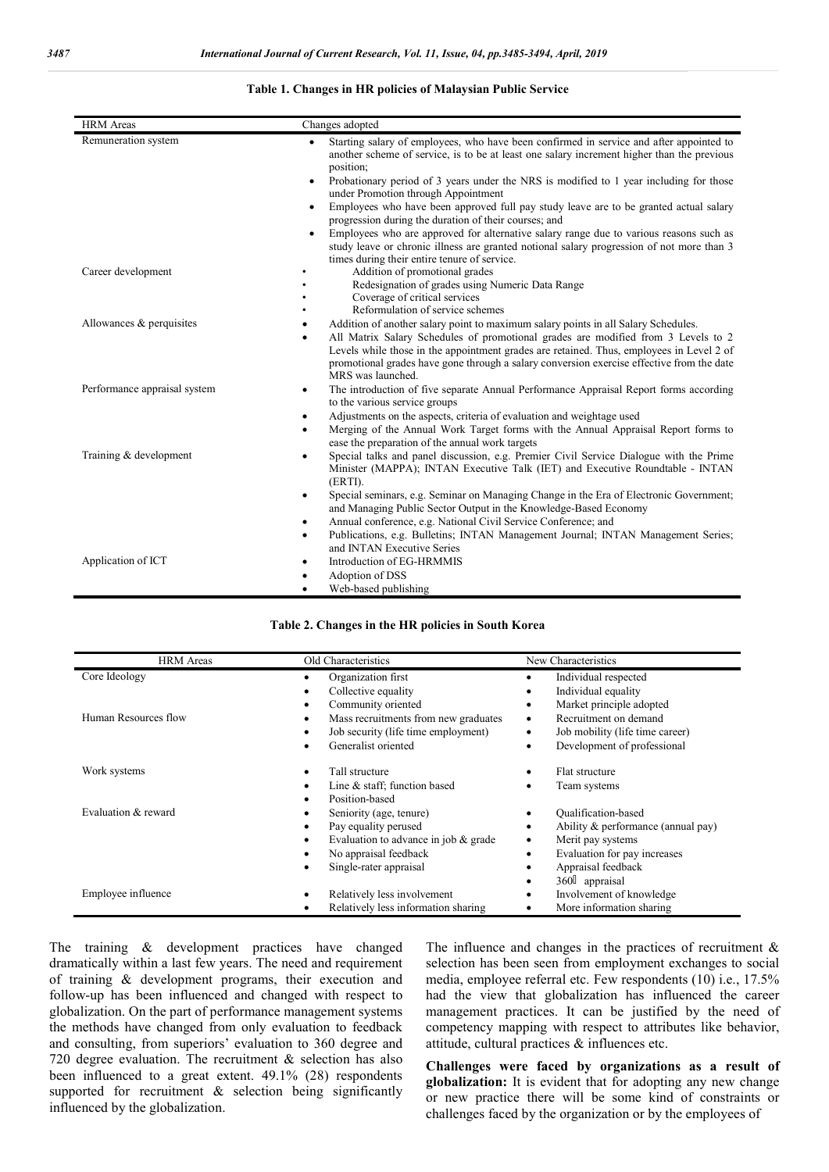#### **Table 1. Changes in HR policies of Malaysian Public Service**

| <b>HRM</b> Areas             | Changes adopted                                                                                                                                                                                                                                                                                                                                                                                                                                                                                                                                                                                                                                                                                                                                                     |
|------------------------------|---------------------------------------------------------------------------------------------------------------------------------------------------------------------------------------------------------------------------------------------------------------------------------------------------------------------------------------------------------------------------------------------------------------------------------------------------------------------------------------------------------------------------------------------------------------------------------------------------------------------------------------------------------------------------------------------------------------------------------------------------------------------|
| Remuneration system          | Starting salary of employees, who have been confirmed in service and after appointed to<br>$\bullet$<br>another scheme of service, is to be at least one salary increment higher than the previous<br>position;<br>Probationary period of 3 years under the NRS is modified to 1 year including for those<br>$\bullet$<br>under Promotion through Appointment<br>Employees who have been approved full pay study leave are to be granted actual salary<br>$\bullet$<br>progression during the duration of their courses; and<br>Employees who are approved for alternative salary range due to various reasons such as<br>study leave or chronic illness are granted notional salary progression of not more than 3<br>times during their entire tenure of service. |
| Career development           | Addition of promotional grades<br>Redesignation of grades using Numeric Data Range<br>Coverage of critical services<br>Reformulation of service schemes                                                                                                                                                                                                                                                                                                                                                                                                                                                                                                                                                                                                             |
| Allowances & perquisites     | Addition of another salary point to maximum salary points in all Salary Schedules.<br>$\bullet$<br>All Matrix Salary Schedules of promotional grades are modified from 3 Levels to 2<br>٠<br>Levels while those in the appointment grades are retained. Thus, employees in Level 2 of<br>promotional grades have gone through a salary conversion exercise effective from the date<br>MRS was launched.                                                                                                                                                                                                                                                                                                                                                             |
| Performance appraisal system | The introduction of five separate Annual Performance Appraisal Report forms according<br>$\bullet$<br>to the various service groups<br>Adjustments on the aspects, criteria of evaluation and weightage used<br>$\bullet$<br>Merging of the Annual Work Target forms with the Annual Appraisal Report forms to<br>٠<br>ease the preparation of the annual work targets                                                                                                                                                                                                                                                                                                                                                                                              |
| Training & development       | Special talks and panel discussion, e.g. Premier Civil Service Dialogue with the Prime<br>٠<br>Minister (MAPPA); INTAN Executive Talk (IET) and Executive Roundtable - INTAN<br>(ERTI).<br>Special seminars, e.g. Seminar on Managing Change in the Era of Electronic Government;<br>$\bullet$<br>and Managing Public Sector Output in the Knowledge-Based Economy<br>Annual conference, e.g. National Civil Service Conference; and<br>$\bullet$<br>Publications, e.g. Bulletins; INTAN Management Journal; INTAN Management Series;<br>$\bullet$<br>and INTAN Executive Series                                                                                                                                                                                    |
| Application of ICT           | Introduction of EG-HRMMIS<br>$\bullet$<br>Adoption of DSS<br>$\bullet$<br>Web-based publishing                                                                                                                                                                                                                                                                                                                                                                                                                                                                                                                                                                                                                                                                      |

#### **Table 2. Changes in the HR policies in South Korea**

| <b>HRM</b> Areas     | Old Characteristics                              | New Characteristics                              |
|----------------------|--------------------------------------------------|--------------------------------------------------|
| Core Ideology        | Organization first<br>Collective equality<br>٠   | Individual respected<br>Individual equality<br>٠ |
|                      | Community oriented<br>٠                          | Market principle adopted<br>٠                    |
| Human Resources flow | Mass recruitments from new graduates<br>٠        | Recruitment on demand<br>٠                       |
|                      | Job security (life time employment)<br>$\bullet$ | Job mobility (life time career)<br>$\bullet$     |
|                      | Generalist oriented<br>٠                         | Development of professional                      |
| Work systems         | Tall structure<br>٠                              | Flat structure                                   |
|                      | Line & staff; function based                     | Team systems                                     |
|                      | Position-based<br>٠                              |                                                  |
| Evaluation & reward  | Seniority (age, tenure)<br>٠                     | <b>Oualification-based</b>                       |
|                      | Pay equality perused<br>٠                        | Ability & performance (annual pay)<br>٠          |
|                      | Evaluation to advance in job $\&$ grade<br>٠     | Merit pay systems<br>٠                           |
|                      | No appraisal feedback<br>٠                       | Evaluation for pay increases<br>٠                |
|                      | Single-rater appraisal<br>٠                      | Appraisal feedback                               |
|                      |                                                  | 360 appraisal                                    |
| Employee influence   | Relatively less involvement<br>٠                 | Involvement of knowledge                         |
|                      | Relatively less information sharing              | More information sharing                         |

The training & development practices have changed dramatically within a last few years. The need and requirement of training & development programs, their execution and follow-up has been influenced and changed with respect to globalization. On the part of performance management systems the methods have changed from only evaluation to feedback and consulting, from superiors' evaluation to 360 degree and 720 degree evaluation. The recruitment & selection has also been influenced to a great extent. 49.1% (28) respondents supported for recruitment & selection being significantly influenced by the globalization.

The influence and changes in the practices of recruitment  $\&$ selection has been seen from employment exchanges to social media, employee referral etc. Few respondents (10) i.e., 17.5% had the view that globalization has influenced the career management practices. It can be justified by the need of competency mapping with respect to attributes like behavior, attitude, cultural practices & influences etc.

**Challenges were faced by organizations as a result of globalization:** It is evident that for adopting any new change or new practice there will be some kind of constraints or challenges faced by the organization or by the employees of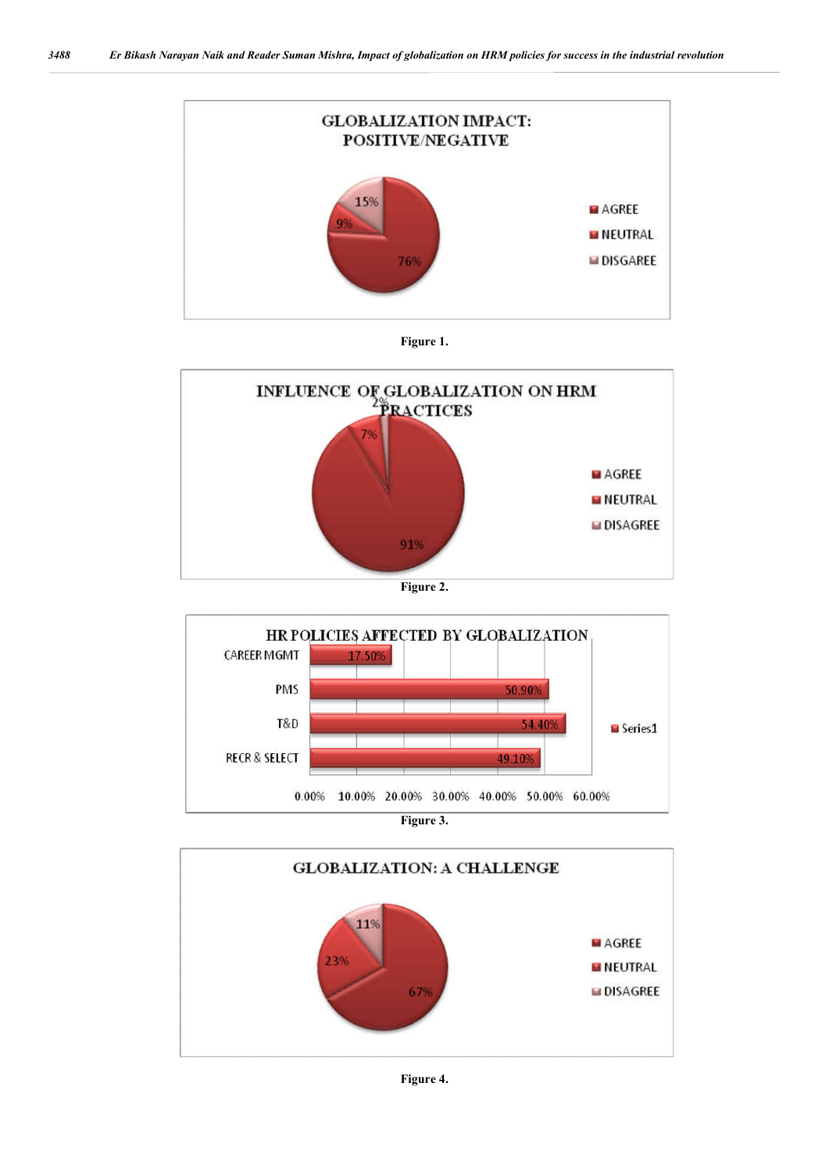













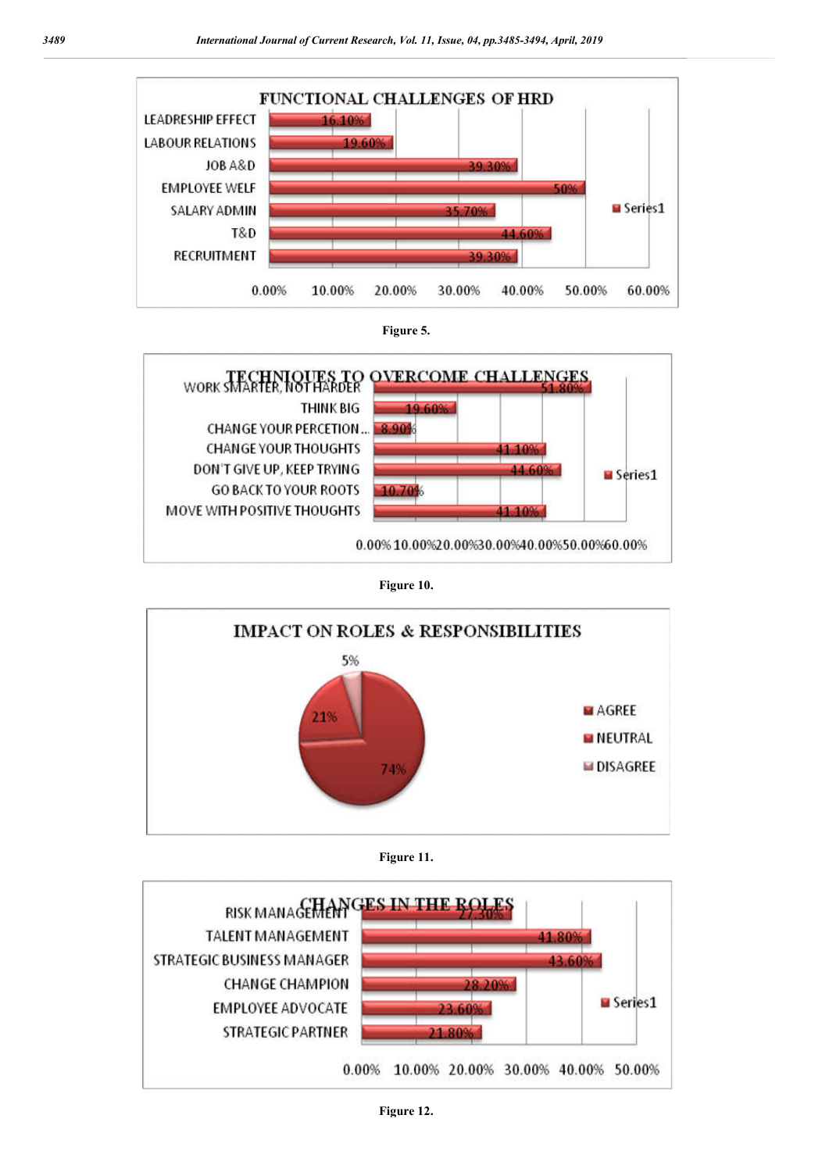





**Figure 10.**





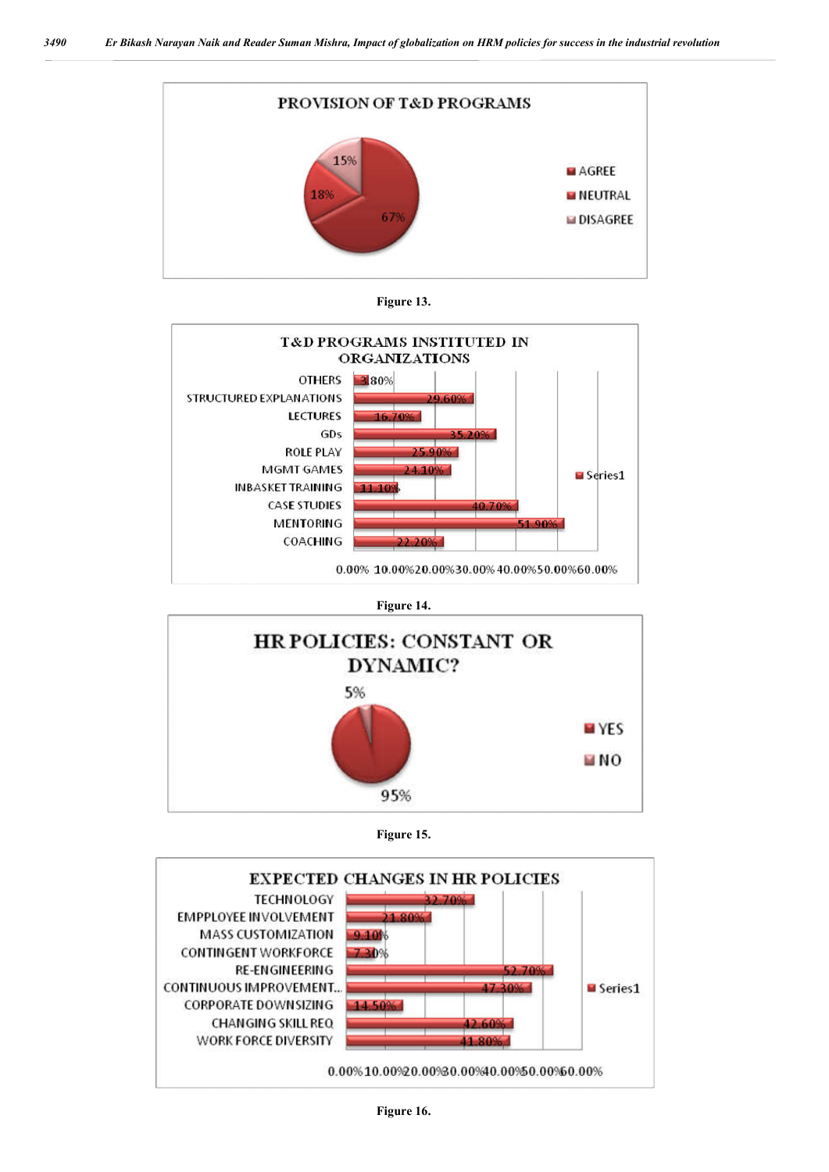











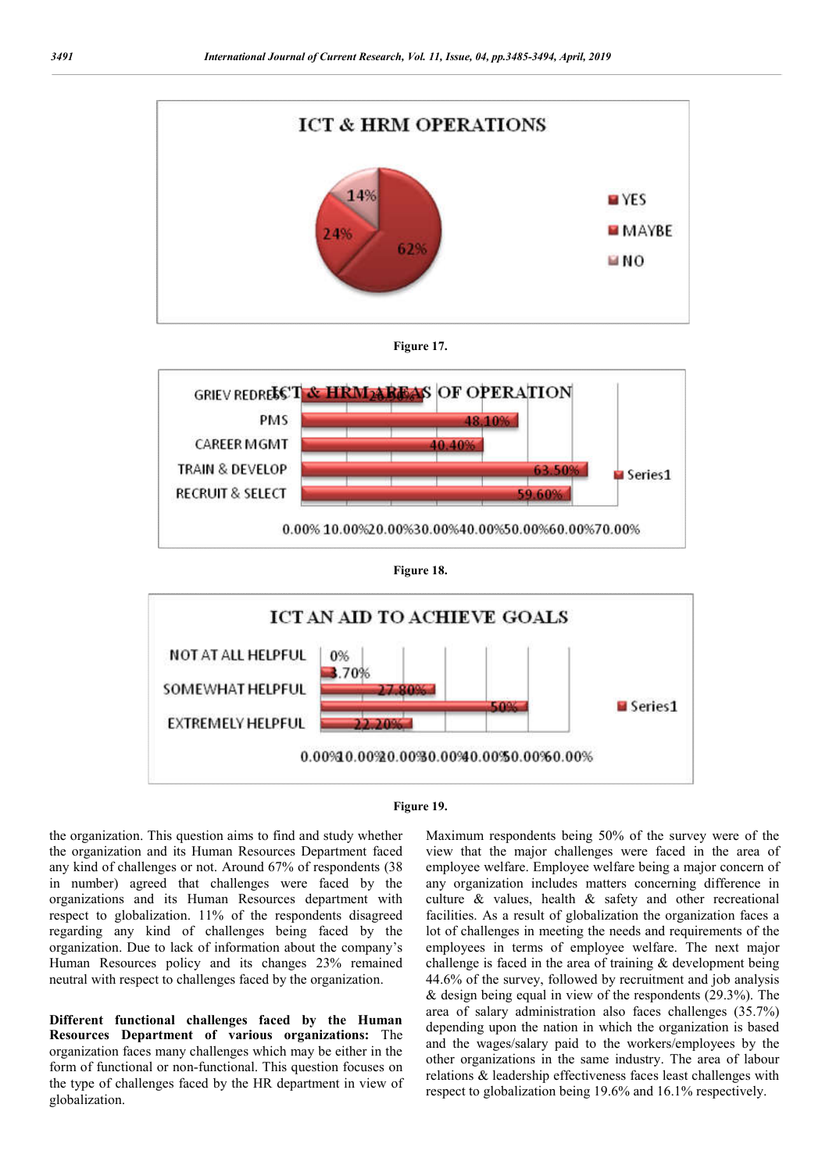











the organization. This question aims to find and study whether the organization and its Human Resources Department faced any kind of challenges or not. Around 67% of respondents (38 in number) agreed that challenges were faced by the organizations and its Human Resources department with respect to globalization. 11% of the respondents disagreed regarding any kind of challenges being faced by the organization. Due to lack of information about the company's Human Resources policy and its changes 23% remained neutral with respect to challenges faced by the organization.

**Different functional challenges faced by the Human Resources Department of various organizations:** The organization faces many challenges which may be either in the form of functional or non-functional. This question focuses on the type of challenges faced by the HR department in view of globalization.

Maximum respondents being 50% of the survey were of the view that the major challenges were faced in the area of employee welfare. Employee welfare being a major concern of any organization includes matters concerning difference in culture & values, health & safety and other recreational facilities. As a result of globalization the organization faces a lot of challenges in meeting the needs and requirements of the employees in terms of employee welfare. The next major challenge is faced in the area of training & development being 44.6% of the survey, followed by recruitment and job analysis & design being equal in view of the respondents (29.3%). The area of salary administration also faces challenges (35.7%) depending upon the nation in which the organization is based and the wages/salary paid to the workers/employees by the other organizations in the same industry. The area of labour relations & leadership effectiveness faces least challenges with respect to globalization being 19.6% and 16.1% respectively.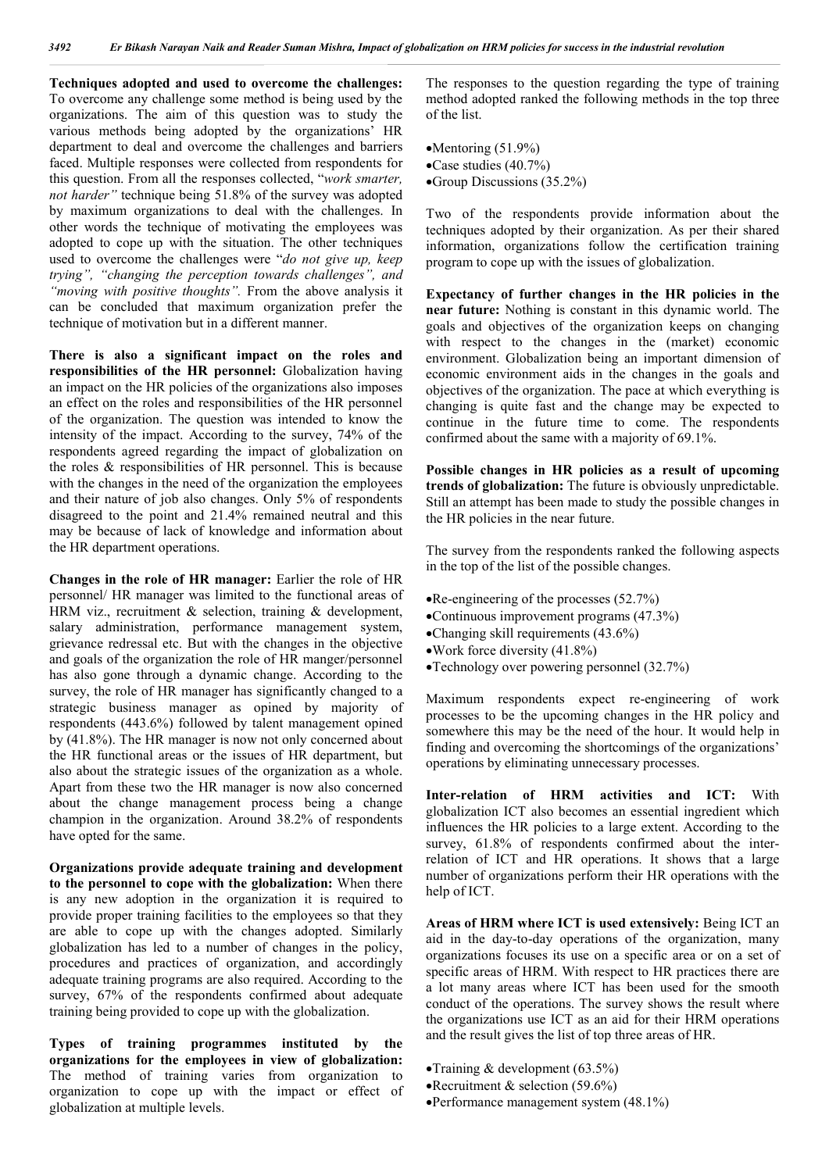**Techniques adopted and used to overcome the challenges:**  To overcome any challenge some method is being used by the organizations. The aim of this question was to study the various methods being adopted by the organizations' HR department to deal and overcome the challenges and barriers faced. Multiple responses were collected from respondents for this question. From all the responses collected, "*work smarter, not harder"* technique being 51.8% of the survey was adopted by maximum organizations to deal with the challenges. In other words the technique of motivating the employees was adopted to cope up with the situation. The other techniques used to overcome the challenges were "*do not give up, keep trying", "changing the perception towards challenges", and "moving with positive thoughts".* From the above analysis it can be concluded that maximum organization prefer the technique of motivation but in a different manner.

**There is also a significant impact on the roles and responsibilities of the HR personnel:** Globalization having an impact on the HR policies of the organizations also imposes an effect on the roles and responsibilities of the HR personnel of the organization. The question was intended to know the intensity of the impact. According to the survey, 74% of the respondents agreed regarding the impact of globalization on the roles & responsibilities of HR personnel. This is because with the changes in the need of the organization the employees and their nature of job also changes. Only 5% of respondents disagreed to the point and 21.4% remained neutral and this may be because of lack of knowledge and information about the HR department operations.

**Changes in the role of HR manager:** Earlier the role of HR personnel/ HR manager was limited to the functional areas of HRM viz., recruitment & selection, training & development, salary administration, performance management system, grievance redressal etc. But with the changes in the objective and goals of the organization the role of HR manger/personnel has also gone through a dynamic change. According to the survey, the role of HR manager has significantly changed to a strategic business manager as opined by majority of respondents (443.6%) followed by talent management opined by (41.8%). The HR manager is now not only concerned about the HR functional areas or the issues of HR department, but also about the strategic issues of the organization as a whole. Apart from these two the HR manager is now also concerned about the change management process being a change champion in the organization. Around 38.2% of respondents have opted for the same.

**Organizations provide adequate training and development to the personnel to cope with the globalization:** When there is any new adoption in the organization it is required to provide proper training facilities to the employees so that they are able to cope up with the changes adopted. Similarly globalization has led to a number of changes in the policy, procedures and practices of organization, and accordingly adequate training programs are also required. According to the survey, 67% of the respondents confirmed about adequate training being provided to cope up with the globalization.

**Types of training programmes instituted by the organizations for the employees in view of globalization:**  The method of training varies from organization to organization to cope up with the impact or effect of globalization at multiple levels.

The responses to the question regarding the type of training method adopted ranked the following methods in the top three of the list.

- $\bullet$ Mentoring (51.9%)
- Case studies (40.7%)
- Group Discussions (35.2%)

Two of the respondents provide information about the techniques adopted by their organization. As per their shared information, organizations follow the certification training program to cope up with the issues of globalization.

**Expectancy of further changes in the HR policies in the near future:** Nothing is constant in this dynamic world. The goals and objectives of the organization keeps on changing with respect to the changes in the (market) economic environment. Globalization being an important dimension of economic environment aids in the changes in the goals and objectives of the organization. The pace at which everything is changing is quite fast and the change may be expected to continue in the future time to come. The respondents confirmed about the same with a majority of 69.1%.

**Possible changes in HR policies as a result of upcoming trends of globalization:** The future is obviously unpredictable. Still an attempt has been made to study the possible changes in the HR policies in the near future.

The survey from the respondents ranked the following aspects in the top of the list of the possible changes.

- Re-engineering of the processes (52.7%)
- Continuous improvement programs (47.3%)
- Changing skill requirements (43.6%)
- Work force diversity (41.8%)
- Technology over powering personnel (32.7%)

Maximum respondents expect re-engineering of work processes to be the upcoming changes in the HR policy and somewhere this may be the need of the hour. It would help in finding and overcoming the shortcomings of the organizations' operations by eliminating unnecessary processes.

**Inter-relation of HRM activities and ICT:** With globalization ICT also becomes an essential ingredient which influences the HR policies to a large extent. According to the survey,  $61.8\%$  of respondents confirmed about the interrelation of ICT and HR operations. It shows that a large number of organizations perform their HR operations with the help of ICT.

**Areas of HRM where ICT is used extensively:** Being ICT an aid in the day-to-day operations of the organization, many organizations focuses its use on a specific area or on a set of specific areas of HRM. With respect to HR practices there are a lot many areas where ICT has been used for the smooth conduct of the operations. The survey shows the result where the organizations use ICT as an aid for their HRM operations and the result gives the list of top three areas of HR.

- Training  $&$  development (63.5%)
- •Recruitment & selection (59.6%)
- Performance management system (48.1%)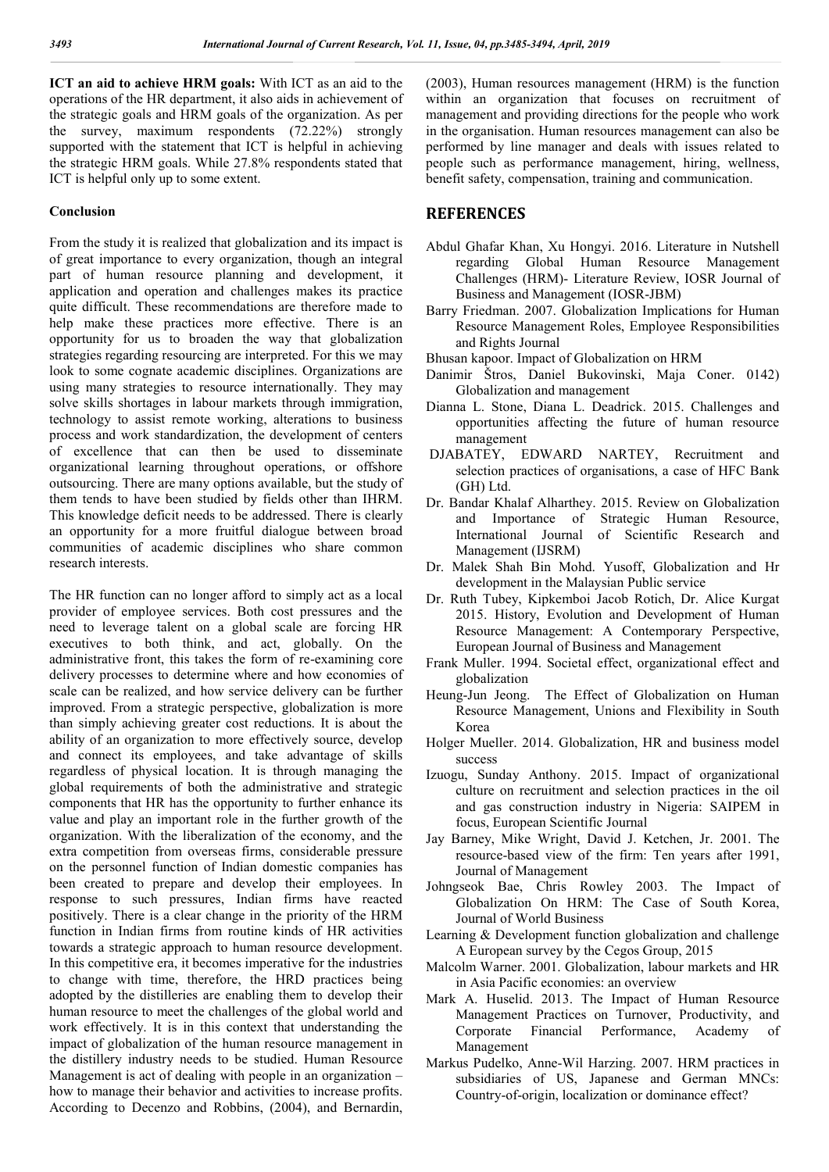**ICT an aid to achieve HRM goals:** With ICT as an aid to the operations of the HR department, it also aids in achievement of the strategic goals and HRM goals of the organization. As per the survey, maximum respondents (72.22%) strongly supported with the statement that ICT is helpful in achieving the strategic HRM goals. While 27.8% respondents stated that ICT is helpful only up to some extent.

#### **Conclusion**

From the study it is realized that globalization and its impact is of great importance to every organization, though an integral part of human resource planning and development, it application and operation and challenges makes its practice quite difficult. These recommendations are therefore made to help make these practices more effective. There is an opportunity for us to broaden the way that globalization strategies regarding resourcing are interpreted. For this we may look to some cognate academic disciplines. Organizations are using many strategies to resource internationally. They may solve skills shortages in labour markets through immigration, technology to assist remote working, alterations to business process and work standardization, the development of centers of excellence that can then be used to disseminate organizational learning throughout operations, or offshore outsourcing. There are many options available, but the study of them tends to have been studied by fields other than IHRM. This knowledge deficit needs to be addressed. There is clearly an opportunity for a more fruitful dialogue between broad communities of academic disciplines who share common research interests.

The HR function can no longer afford to simply act as a local provider of employee services. Both cost pressures and the need to leverage talent on a global scale are forcing HR executives to both think, and act, globally. On the administrative front, this takes the form of re-examining core delivery processes to determine where and how economies of scale can be realized, and how service delivery can be further improved. From a strategic perspective, globalization is more than simply achieving greater cost reductions. It is about the ability of an organization to more effectively source, develop and connect its employees, and take advantage of skills regardless of physical location. It is through managing the global requirements of both the administrative and strategic components that HR has the opportunity to further enhance its value and play an important role in the further growth of the organization. With the liberalization of the economy, and the extra competition from overseas firms, considerable pressure on the personnel function of Indian domestic companies has been created to prepare and develop their employees. In response to such pressures, Indian firms have reacted positively. There is a clear change in the priority of the HRM function in Indian firms from routine kinds of HR activities towards a strategic approach to human resource development. In this competitive era, it becomes imperative for the industries to change with time, therefore, the HRD practices being adopted by the distilleries are enabling them to develop their human resource to meet the challenges of the global world and work effectively. It is in this context that understanding the impact of globalization of the human resource management in the distillery industry needs to be studied. Human Resource Management is act of dealing with people in an organization – how to manage their behavior and activities to increase profits. According to Decenzo and Robbins, (2004), and Bernardin,

(2003), Human resources management (HRM) is the function within an organization that focuses on recruitment of management and providing directions for the people who work in the organisation. Human resources management can also be performed by line manager and deals with issues related to people such as performance management, hiring, wellness, benefit safety, compensation, training and communication.

### **REFERENCES**

- Abdul Ghafar Khan, Xu Hongyi. 2016. Literature in Nutshell regarding Global Human Resource Management Challenges (HRM)- Literature Review, IOSR Journal of Business and Management (IOSR-JBM)
- Barry Friedman. 2007. Globalization Implications for Human Resource Management Roles, Employee Responsibilities and Rights Journal
- Bhusan kapoor. Impact of Globalization on HRM
- Danimir Štros, Daniel Bukovinski, Maja Coner. 0142) Globalization and management
- Dianna L. Stone, Diana L. Deadrick. 2015. Challenges and opportunities affecting the future of human resource management
- DJABATEY, EDWARD NARTEY, Recruitment and selection practices of organisations, a case of HFC Bank (GH) Ltd.
- Dr. Bandar Khalaf Alharthey. 2015. Review on Globalization and Importance of Strategic Human Resource, International Journal of Scientific Research and Management (IJSRM)
- Dr. Malek Shah Bin Mohd. Yusoff, Globalization and Hr development in the Malaysian Public service
- Dr. Ruth Tubey, Kipkemboi Jacob Rotich, Dr. Alice Kurgat 2015. History, Evolution and Development of Human Resource Management: A Contemporary Perspective, European Journal of Business and Management
- Frank Muller. 1994. Societal effect, organizational effect and globalization
- Heung-Jun Jeong. The Effect of Globalization on Human Resource Management, Unions and Flexibility in South Korea
- Holger Mueller. 2014. Globalization, HR and business model success
- Izuogu, Sunday Anthony. 2015. Impact of organizational culture on recruitment and selection practices in the oil and gas construction industry in Nigeria: SAIPEM in focus, European Scientific Journal
- Jay Barney, Mike Wright, David J. Ketchen, Jr. 2001. The resource-based view of the firm: Ten years after 1991, Journal of Management
- Johngseok Bae, Chris Rowley 2003. The Impact of Globalization On HRM: The Case of South Korea, Journal of World Business
- Learning & Development function globalization and challenge A European survey by the Cegos Group, 2015
- Malcolm Warner. 2001. Globalization, labour markets and HR in Asia Pacific economies: an overview
- Mark A. Huselid. 2013. The Impact of Human Resource Management Practices on Turnover, Productivity, and Corporate Financial Performance, Academy of Management
- Markus Pudelko, Anne-Wil Harzing. 2007. HRM practices in subsidiaries of US, Japanese and German MNCs: Country-of-origin, localization or dominance effect?